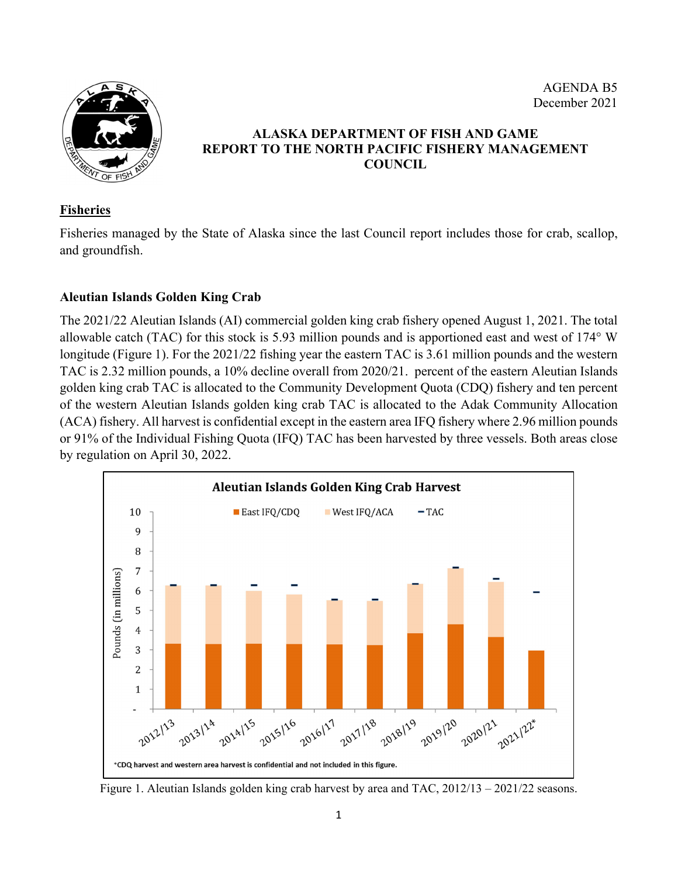AGENDA B5 December 2021



# **ALASKA DEPARTMENT OF FISH AND GAME REPORT TO THE NORTH PACIFIC FISHERY MANAGEMENT COUNCIL**

### **Fisheries**

Fisheries managed by the State of Alaska since the last Council report includes those for crab, scallop, and groundfish.

## **Aleutian Islands Golden King Crab**

The 2021/22 Aleutian Islands (AI) commercial golden king crab fishery opened August 1, 2021. The total allowable catch (TAC) for this stock is 5.93 million pounds and is apportioned east and west of 174° W longitude (Figure 1). For the 2021/22 fishing year the eastern TAC is 3.61 million pounds and the western TAC is 2.32 million pounds, a 10% decline overall from 2020/21. percent of the eastern Aleutian Islands golden king crab TAC is allocated to the Community Development Quota (CDQ) fishery and ten percent of the western Aleutian Islands golden king crab TAC is allocated to the Adak Community Allocation (ACA) fishery. All harvest is confidential except in the eastern area IFQ fishery where 2.96 million pounds or 91% of the Individual Fishing Quota (IFQ) TAC has been harvested by three vessels. Both areas close by regulation on April 30, 2022.



Figure 1. Aleutian Islands golden king crab harvest by area and TAC, 2012/13 – 2021/22 seasons.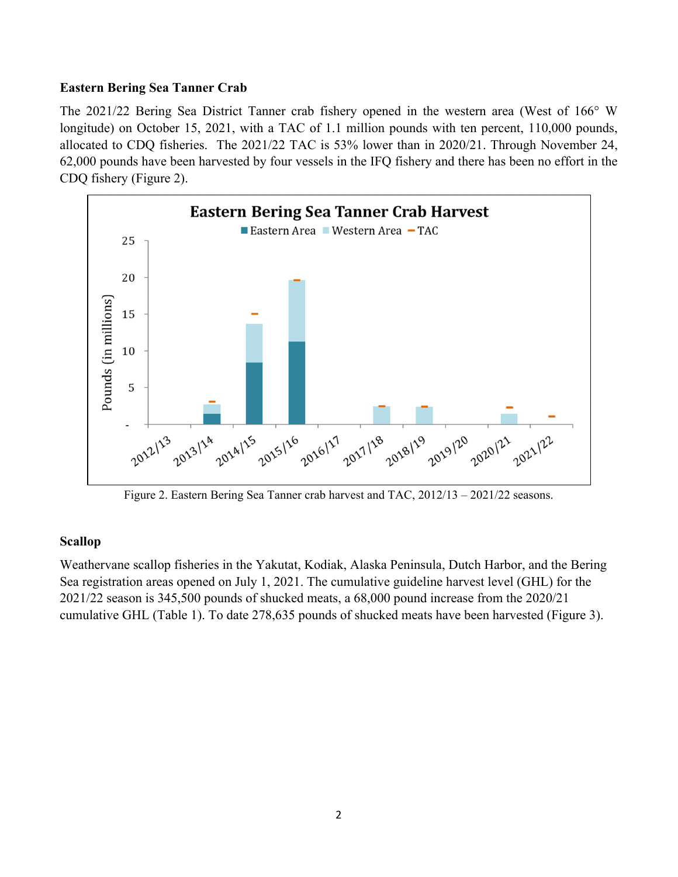#### **Eastern Bering Sea Tanner Crab**

The 2021/22 Bering Sea District Tanner crab fishery opened in the western area (West of 166° W longitude) on October 15, 2021, with a TAC of 1.1 million pounds with ten percent, 110,000 pounds, allocated to CDQ fisheries. The 2021/22 TAC is 53% lower than in 2020/21. Through November 24, 62,000 pounds have been harvested by four vessels in the IFQ fishery and there has been no effort in the CDQ fishery (Figure 2).



Figure 2. Eastern Bering Sea Tanner crab harvest and TAC, 2012/13 – 2021/22 seasons.

#### **Scallop**

Weathervane scallop fisheries in the Yakutat, Kodiak, Alaska Peninsula, Dutch Harbor, and the Bering Sea registration areas opened on July 1, 2021. The cumulative guideline harvest level (GHL) for the 2021/22 season is 345,500 pounds of shucked meats, a 68,000 pound increase from the 2020/21 cumulative GHL (Table 1). To date 278,635 pounds of shucked meats have been harvested (Figure 3).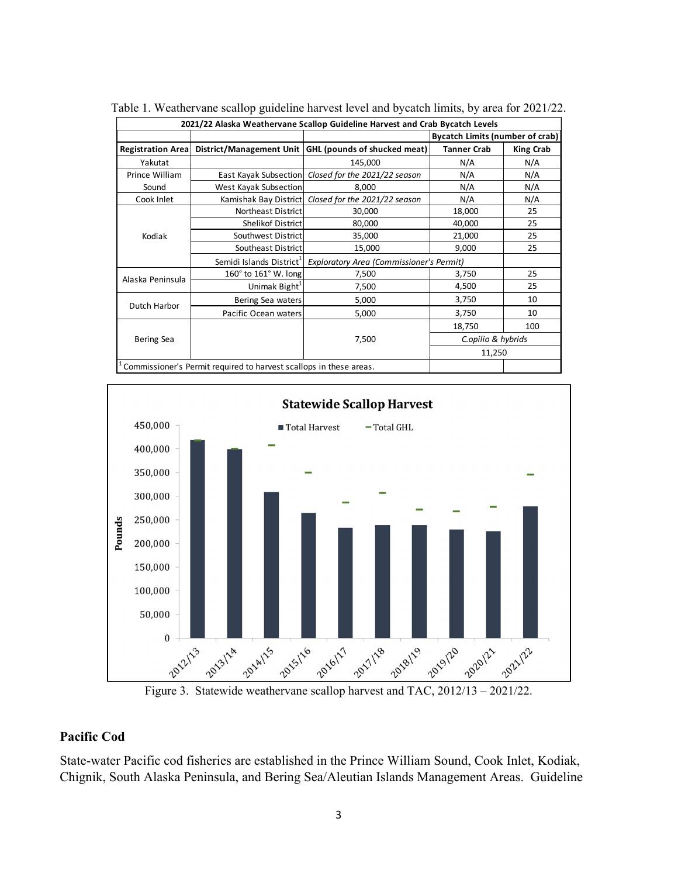| 2021/22 Alaska Weathervane Scallop Guideline Harvest and Crab Bycatch Levels |                                                                    |                                                         |                                        |                  |  |  |  |
|------------------------------------------------------------------------------|--------------------------------------------------------------------|---------------------------------------------------------|----------------------------------------|------------------|--|--|--|
|                                                                              |                                                                    |                                                         | <b>Bycatch Limits (number of crab)</b> |                  |  |  |  |
| <b>Registration Area</b>                                                     |                                                                    | District/Management Unit   GHL (pounds of shucked meat) | <b>Tanner Crab</b>                     | <b>King Crab</b> |  |  |  |
| Yakutat                                                                      |                                                                    | 145,000                                                 | N/A                                    | N/A              |  |  |  |
| Prince William                                                               | East Kayak Subsection                                              | Closed for the 2021/22 season                           | N/A                                    | N/A              |  |  |  |
| Sound                                                                        | West Kayak Subsection                                              | 8,000                                                   | N/A                                    | N/A              |  |  |  |
| Cook Inlet                                                                   | Kamishak Bay District                                              | Closed for the 2021/22 season                           | N/A                                    | N/A              |  |  |  |
| Kodiak                                                                       | Northeast District                                                 | 30,000                                                  | 18,000                                 | 25               |  |  |  |
|                                                                              | Shelikof District                                                  | 80,000                                                  | 40,000                                 | 25               |  |  |  |
|                                                                              | Southwest District                                                 | 35,000                                                  | 21,000                                 | 25               |  |  |  |
|                                                                              | Southeast District                                                 | 15,000                                                  | 9,000                                  | 25               |  |  |  |
|                                                                              | Semidi Islands District <sup>1</sup>                               | <b>Exploratory Area (Commissioner's Permit)</b>         |                                        |                  |  |  |  |
| Alaska Peninsula                                                             | 160 $^{\circ}$ to 161 $^{\circ}$ W. long                           | 7,500                                                   | 3,750                                  | 25               |  |  |  |
|                                                                              | Unimak Bight <sup>+</sup>                                          | 7,500                                                   | 4,500                                  | 25               |  |  |  |
| Dutch Harbor                                                                 | Bering Sea waters                                                  | 5,000                                                   | 3,750                                  | 10               |  |  |  |
|                                                                              | Pacific Ocean waters                                               | 5,000                                                   | 3,750                                  | 10               |  |  |  |
| Bering Sea                                                                   |                                                                    |                                                         | 18,750                                 | 100              |  |  |  |
|                                                                              |                                                                    | 7,500                                                   | C.opilio & hybrids                     |                  |  |  |  |
|                                                                              |                                                                    |                                                         | 11,250                                 |                  |  |  |  |
|                                                                              | Commissioner's Permit required to harvest scallops in these areas. |                                                         |                                        |                  |  |  |  |

Table 1. Weathervane scallop guideline harvest level and bycatch limits, by area for 2021/22.



#### **Pacific Cod**

State-water Pacific cod fisheries are established in the Prince William Sound, Cook Inlet, Kodiak, Chignik, South Alaska Peninsula, and Bering Sea/Aleutian Islands Management Areas. Guideline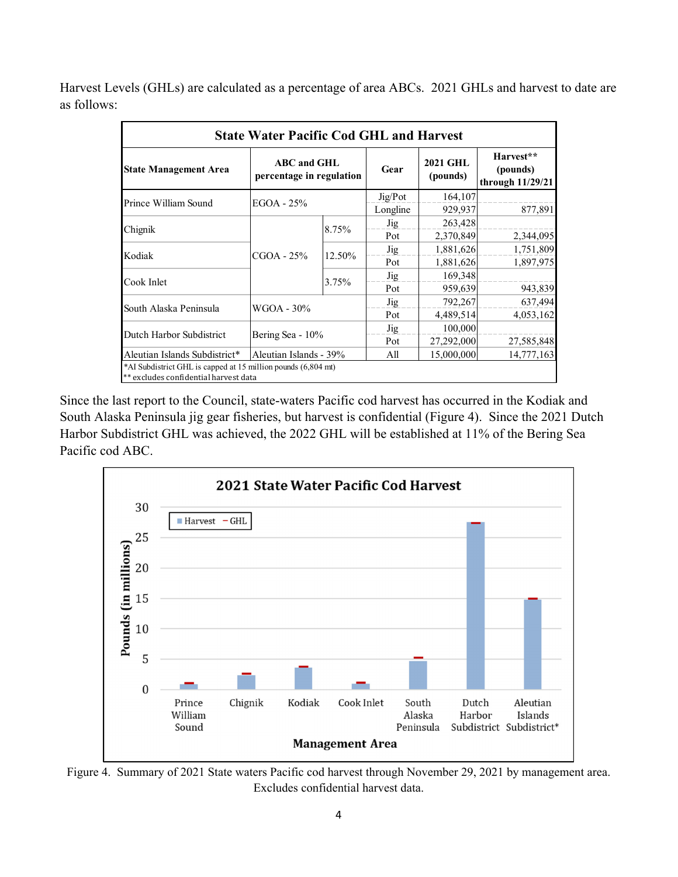Harvest Levels (GHLs) are calculated as a percentage of area ABCs. 2021 GHLs and harvest to date are as follows:

| <b>State Water Pacific Cod GHL and Harvest</b>                                                         |                                                |        |          |                             |                                           |  |  |  |  |
|--------------------------------------------------------------------------------------------------------|------------------------------------------------|--------|----------|-----------------------------|-------------------------------------------|--|--|--|--|
| <b>State Management Area</b>                                                                           | <b>ABC</b> and GHL<br>percentage in regulation |        | Gear     | <b>2021 GHL</b><br>(pounds) | Harvest**<br>(pounds)<br>through 11/29/21 |  |  |  |  |
| Prince William Sound                                                                                   | EGOA - 25%                                     |        | Jig/Pot  | 164,107                     |                                           |  |  |  |  |
|                                                                                                        |                                                |        | Longline | 929,937                     | 877,891                                   |  |  |  |  |
|                                                                                                        | CGOA - 25%                                     | 8.75%  | Jig      | 263,428                     |                                           |  |  |  |  |
| Chignik                                                                                                |                                                |        | Pot      | 2,370,849                   | 2,344,095                                 |  |  |  |  |
| Kodiak                                                                                                 |                                                | 12.50% | Jig      | 1,881,626                   | 1,751,809                                 |  |  |  |  |
|                                                                                                        |                                                |        | Pot      | 1,881,626                   | 1,897,975                                 |  |  |  |  |
|                                                                                                        |                                                | 3.75%  | Jig      | 169,348                     |                                           |  |  |  |  |
| Cook Inlet                                                                                             |                                                |        | Pot      | 959,639                     | 943,839                                   |  |  |  |  |
|                                                                                                        | WGOA - 30%                                     |        | Jig      | 792,267                     | 637,494                                   |  |  |  |  |
| South Alaska Peninsula                                                                                 |                                                |        | Pot      | 4,489,514                   | 4,053,162                                 |  |  |  |  |
|                                                                                                        | Bering Sea - 10%                               |        | Jig      | 100,000                     |                                           |  |  |  |  |
| Dutch Harbor Subdistrict                                                                               |                                                |        | Pot      | 27,292,000                  | 27,585,848                                |  |  |  |  |
| Aleutian Islands Subdistrict*                                                                          | Aleutian Islands - 39%                         |        | All      | 15,000,000                  | 14,777,163                                |  |  |  |  |
| *AI Subdistrict GHL is capped at 15 million pounds (6,804 mt)<br>** excludes confidential harvest data |                                                |        |          |                             |                                           |  |  |  |  |

Since the last report to the Council, state-waters Pacific cod harvest has occurred in the Kodiak and South Alaska Peninsula jig gear fisheries, but harvest is confidential (Figure 4). Since the 2021 Dutch Harbor Subdistrict GHL was achieved, the 2022 GHL will be established at 11% of the Bering Sea Pacific cod ABC.



Figure 4. Summary of 2021 State waters Pacific cod harvest through November 29, 2021 by management area. Excludes confidential harvest data.